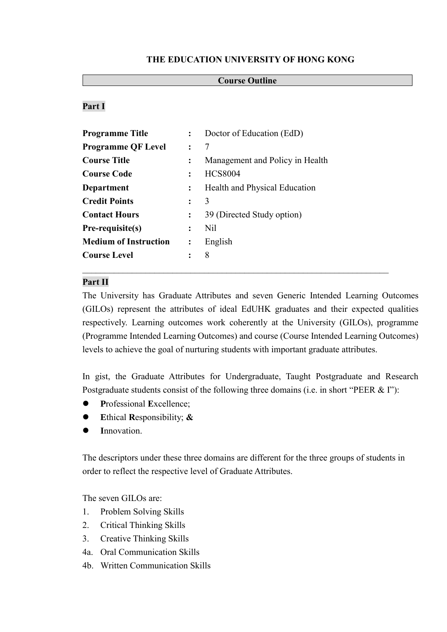#### **THE EDUCATION UNIVERSITY OF HONG KONG**

#### **Course Outline**

### **Part I**

| Programme Title              | $\ddot{\cdot}$ | Doctor of Education (EdD)       |  |
|------------------------------|----------------|---------------------------------|--|
| <b>Programme QF Level</b>    | $\ddot{\cdot}$ | 7                               |  |
| <b>Course Title</b>          | $\ddot{\cdot}$ | Management and Policy in Health |  |
| <b>Course Code</b>           | $\ddot{\cdot}$ | <b>HCS8004</b>                  |  |
| Department                   | $\ddot{\cdot}$ | Health and Physical Education   |  |
| <b>Credit Points</b>         |                | 3                               |  |
| <b>Contact Hours</b>         | $\ddot{\cdot}$ | 39 (Directed Study option)      |  |
| Pre-requisite(s)             | $\ddot{\cdot}$ | N <sub>il</sub>                 |  |
| <b>Medium of Instruction</b> | $\ddot{\cdot}$ | English                         |  |
| <b>Course Level</b>          |                | 8                               |  |
|                              |                |                                 |  |

#### **Part II**

The University has Graduate Attributes and seven Generic Intended Learning Outcomes (GILOs) represent the attributes of ideal EdUHK graduates and their expected qualities respectively. Learning outcomes work coherently at the University (GILOs), programme (Programme Intended Learning Outcomes) and course (Course Intended Learning Outcomes) levels to achieve the goal of nurturing students with important graduate attributes.

In gist, the Graduate Attributes for Undergraduate, Taught Postgraduate and Research Postgraduate students consist of the following three domains (i.e. in short "PEER & I"):

- **P**rofessional **E**xcellence;
- **E**thical **R**esponsibility; **&**
- **I**nnovation.

The descriptors under these three domains are different for the three groups of students in order to reflect the respective level of Graduate Attributes.

The seven GILOs are:

- 1. Problem Solving Skills
- 2. Critical Thinking Skills
- 3. Creative Thinking Skills
- 4a. Oral Communication Skills
- 4b. Written Communication Skills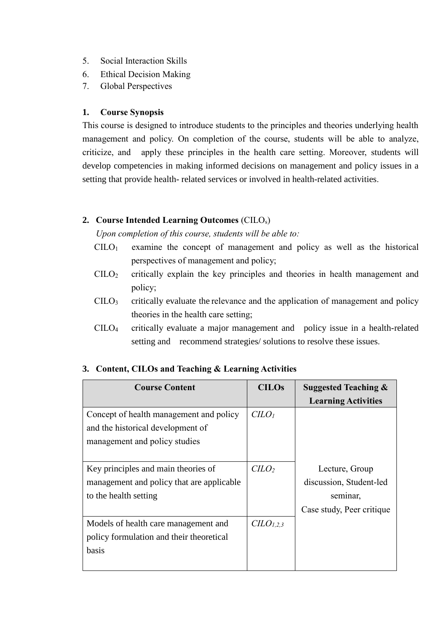- 5. Social Interaction Skills
- 6. Ethical Decision Making
- 7. Global Perspectives

### **1. Course Synopsis**

This course is designed to introduce students to the principles and theories underlying health management and policy. On completion of the course, students will be able to analyze, criticize, and apply these principles in the health care setting. Moreover, students will develop competencies in making informed decisions on management and policy issues in a setting that provide health- related services or involved in health-related activities.

### **2. Course Intended Learning Outcomes** (CILOs)

*Upon completion of this course, students will be able to:*

- $C I L O<sub>1</sub>$  examine the concept of management and policy as well as the historical perspectives of management and policy;
- CILO<sup>2</sup> critically explain the key principles and theories in health management and policy;
- CILO<sup>3</sup> critically evaluate the relevance and the application of management and policy theories in the health care setting;
- CILO<sup>4</sup> critically evaluate a major management and policy issue in a health-related setting and recommend strategies/ solutions to resolve these issues.

| <b>Course Content</b>                     | <b>CILOs</b>                | <b>Suggested Teaching &amp;</b> |
|-------------------------------------------|-----------------------------|---------------------------------|
|                                           |                             | <b>Learning Activities</b>      |
| Concept of health management and policy   | C <sub>LO<sub>1</sub></sub> |                                 |
| and the historical development of         |                             |                                 |
| management and policy studies             |                             |                                 |
|                                           |                             |                                 |
| Key principles and main theories of       | $C LO$                      | Lecture, Group                  |
| management and policy that are applicable |                             | discussion, Student-led         |
| to the health setting                     |                             | seminar,                        |
|                                           |                             | Case study, Peer critique       |
| Models of health care management and      | $CLO_{1,2,3}$               |                                 |
| policy formulation and their theoretical  |                             |                                 |
| basis                                     |                             |                                 |
|                                           |                             |                                 |

### **3. Content, CILOs and Teaching & Learning Activities**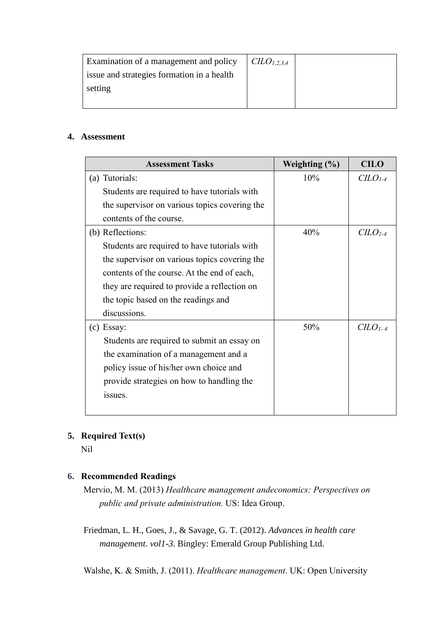| <b>Examination of a management and policy</b> | $C\text{ILO}_{1,2,3,4}$ |  |
|-----------------------------------------------|-------------------------|--|
| issue and strategies formation in a health    |                         |  |
| setting                                       |                         |  |
|                                               |                         |  |

#### **4. Assessment**

| <b>Assessment Tasks</b>                       | Weighting $(\% )$ | <b>CILO</b> |
|-----------------------------------------------|-------------------|-------------|
| (a) Tutorials:                                | 10%               | $CLO1-4$    |
| Students are required to have tutorials with  |                   |             |
| the supervisor on various topics covering the |                   |             |
| contents of the course.                       |                   |             |
| (b) Reflections:                              | 40%               | $CLO1-4$    |
| Students are required to have tutorials with  |                   |             |
| the supervisor on various topics covering the |                   |             |
| contents of the course. At the end of each,   |                   |             |
| they are required to provide a reflection on  |                   |             |
| the topic based on the readings and           |                   |             |
| discussions.                                  |                   |             |
| (c) Essay:                                    | 50%               | $CLO1-4$    |
| Students are required to submit an essay on   |                   |             |
| the examination of a management and a         |                   |             |
| policy issue of his/her own choice and        |                   |             |
| provide strategies on how to handling the     |                   |             |
| issues.                                       |                   |             |
|                                               |                   |             |

# **5. Required Text(s)**

Nil

## **6. Recommended Readings**

Mervio, M. M. (2013) *Healthcare management andeconomics: Perspectives on public and private administration.* US: Idea Group.

Friedman, L. H., Goes, J., & Savage, G. T. (2012). *Advances in health care management. vol1-3.* Bingley: Emerald Group Publishing Ltd.

[Walshe,](http://www.bookworld.com.au/by/kieran-walshe/) K. & [Smith,](http://www.bookworld.com.au/by/judith-smith/) J. (2011). *Healthcare management*. UK: Open University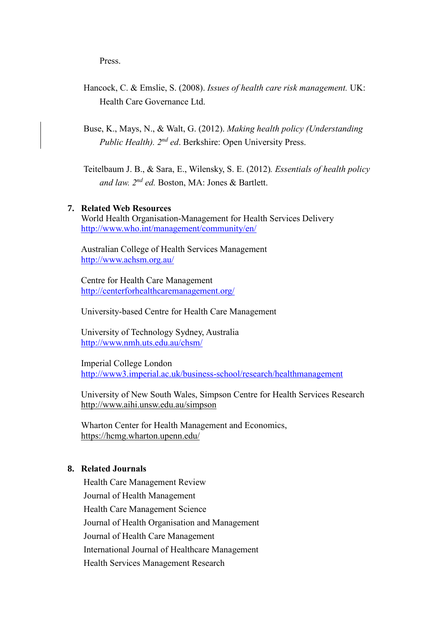Press.

Hancock, C. & [Emslie,](http://www.bookworld.com.au/by/stuart-emslie/) S. (2008). *Issues of health care risk management.* UK: Health Care Governance Ltd.

Buse, K., Mays, N., & Walt, G. (2012). *Making health policy (Understanding*  Public Health). 2<sup>nd</sup> ed. Berkshire: Open University Press.

Teitelbaum J. B., & Sara, E., Wilensky, S. E. (2012)*. Essentials of health policy and law. 2 nd ed.* Boston, MA: Jones & Bartlett.

#### **7. Related Web Resources**

World Health Organisation-Management for Health Services Delivery <http://www.who.int/management/community/en/>

Australian College of Health Services Management <http://www.achsm.org.au/>

Centre for Health Care Management <http://centerforhealthcaremanagement.org/>

University-based Centre for Health Care Management

University of Technology Sydney, Australia <http://www.nmh.uts.edu.au/chsm/>

Imperial College London <http://www3.imperial.ac.uk/business-school/research/healthmanagement>

University of New South Wales, Simpson Centre for Health Services Research <http://www.aihi.unsw.edu.au/simpson>

[Wharton Center for Health Management and Economics,](http://hcmg.wharton.upenn.edu/) <https://hcmg.wharton.upenn.edu/>

### **8. Related Journals**

Health Care Management Review Journal of Health Management Health Care Management Science Journal of Health Organisation and Management Journal of Health Care Management International Journal of Healthcare Management Health Services Management Research